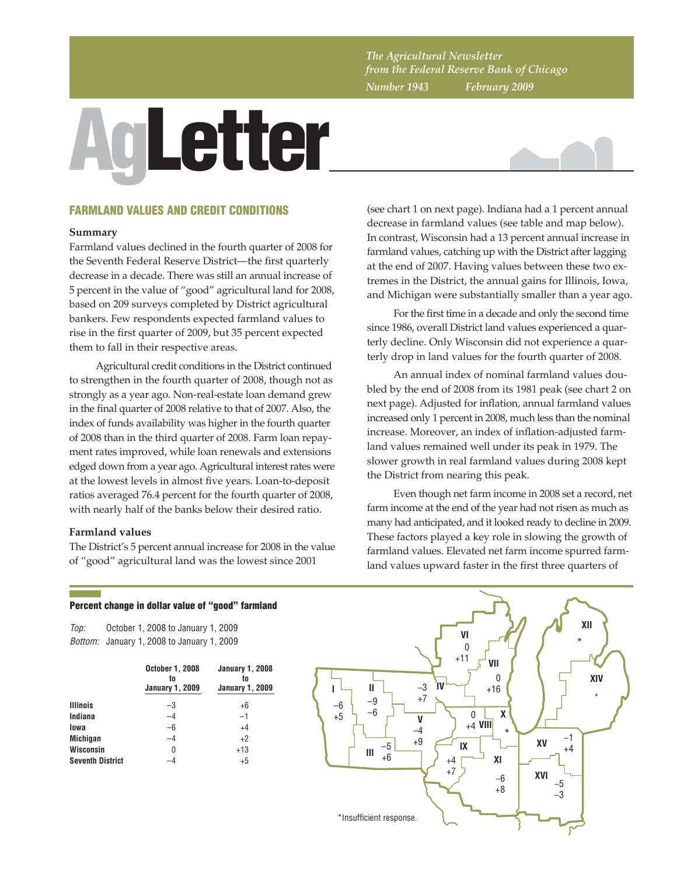*The Agricultural Newsletter from the Federal Reserve Bank of Chicago Number 1943 February 2009*

# AgLetter



# FARMLAND VALUES AND CREDIT CONDITIONS

#### **Summary**

Farmland values declined in the fourth quarter of 2008 for the Seventh Federal Reserve District—the first quarterly decrease in a decade. There was still an annual increase of 5 percent in the value of "good" agricultural land for 2008, based on 209 surveys completed by District agricultural bankers. Few respondents expected farmland values to rise in the first quarter of 2009, but 35 percent expected them to fall in their respective areas.

Agricultural credit conditions in the District continued to strengthen in the fourth quarter of 2008, though not as strongly as a year ago. Non-real-estate loan demand grew in the final quarter of 2008 relative to that of 2007. Also, the index of funds availability was higher in the fourth quarter of 2008 than in the third quarter of 2008. Farm loan repayment rates improved, while loan renewals and extensions edged down from a year ago. Agricultural interest rates were at the lowest levels in almost five years. Loan-to-deposit ratios averaged 76.4 percent for the fourth quarter of 2008, with nearly half of the banks below their desired ratio.

#### **Farmland values**

The District's 5 percent annual increase for 2008 in the value of "good" agricultural land was the lowest since 2001

(see chart 1 on next page). Indiana had a 1 percent annual decrease in farmland values (see table and map below). In contrast, Wisconsin had a 13 percent annual increase in farmland values, catching up with the District after lagging at the end of 2007. Having values between these two extremes in the District, the annual gains for Illinois, Iowa, and Michigan were substantially smaller than a year ago.

For the first time in a decade and only the second time since 1986, overall District land values experienced a quarterly decline. Only Wisconsin did not experience a quarterly drop in land values for the fourth quarter of 2008.

An annual index of nominal farmland values doubled by the end of 2008 from its 1981 peak (see chart 2 on next page). Adjusted for inflation, annual farmland values increased only 1 percent in 2008, much less than the nominal increase. Moreover, an index of inflation-adjusted farmland values remained well under its peak in 1979. The slower growth in real farmland values during 2008 kept the District from nearing this peak.

Even though net farm income in 2008 set a record, net farm income at the end of the year had not risen as much as many had anticipated, and it looked ready to decline in 2009. These factors played a key role in slowing the growth of farmland values. Elevated net farm income spurred farmland values upward faster in the first three quarters of

# *Top: Bottom:* January 1, 2008 to January 1, 2009 **October 1, 2008 January 1, 2008 to to January 1, 2009 January 1, 2009 Illinois** – 3 +6 **Indiana** –4 –1 **Iowa** –6 +4 **Michigan**  $-4$   $+2$ **Wisconsin** 0 +13 **Seventh District**  $-4$   $+5$ October 1, 2008 to January 1, 2009

Percent change in dollar value of "good" farmland

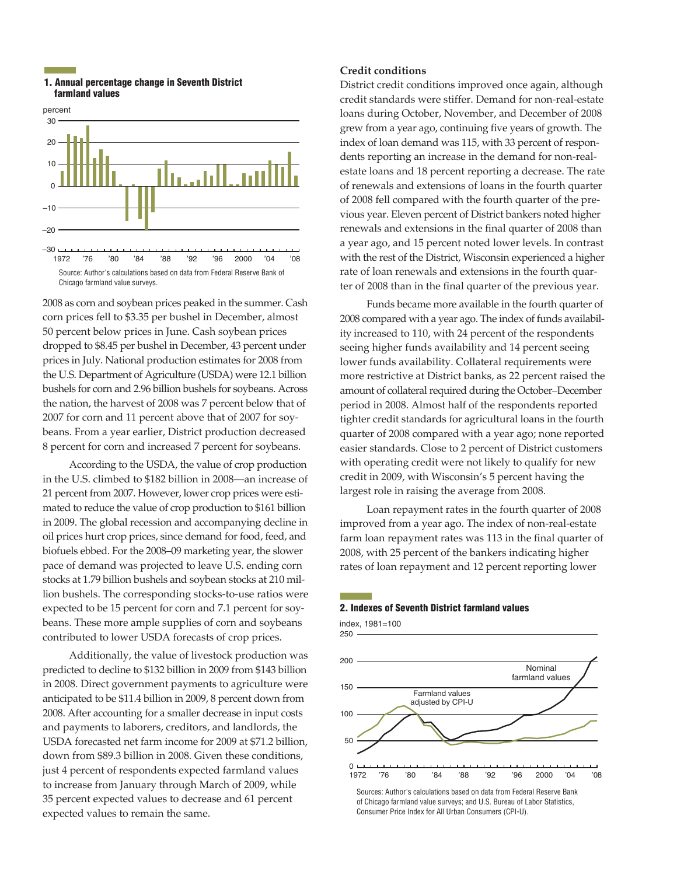#### 1. Annual percentage change in Seventh District farmland values



2008 as corn and soybean prices peaked in the summer. Cash corn prices fell to \$3.35 per bushel in December, almost 50 percent below prices in June. Cash soybean prices dropped to \$8.45 per bushel in December, 43 percent under prices in July. National production estimates for 2008 from the U.S. Department of Agriculture (USDA) were 12.1 billion bushels for corn and 2.96 billion bushels for soybeans. Across the nation, the harvest of 2008 was 7 percent below that of 2007 for corn and 11 percent above that of 2007 for soybeans. From a year earlier, District production decreased 8 percent for corn and increased 7 percent for soybeans.

According to the USDA, the value of crop production in the U.S. climbed to \$182 billion in 2008—an increase of 21 percent from 2007. However, lower crop prices were estimated to reduce the value of crop production to \$161 billion in 2009. The global recession and accompanying decline in oil prices hurt crop prices, since demand for food, feed, and biofuels ebbed. For the 2008–09 marketing year, the slower pace of demand was projected to leave U.S. ending corn stocks at 1.79 billion bushels and soybean stocks at 210 million bushels. The corresponding stocks-to-use ratios were expected to be 15 percent for corn and 7.1 percent for soybeans. These more ample supplies of corn and soybeans contributed to lower USDA forecasts of crop prices.

Additionally, the value of livestock production was predicted to decline to \$132 billion in 2009 from \$143 billion in 2008. Direct government payments to agriculture were anticipated to be \$11.4 billion in 2009, 8 percent down from 2008. After accounting for a smaller decrease in input costs and payments to laborers, creditors, and landlords, the USDA forecasted net farm income for 2009 at \$71.2 billion, down from \$89.3 billion in 2008. Given these conditions, just 4 percent of respondents expected farmland values to increase from January through March of 2009, while 35 percent expected values to decrease and 61 percent expected values to remain the same.

## **Credit conditions**

District credit conditions improved once again, although credit standards were stiffer. Demand for non-real-estate loans during October, November, and December of 2008 grew from a year ago, continuing five years of growth. The index of loan demand was 115, with 33 percent of respondents reporting an increase in the demand for non-realestate loans and 18 percent reporting a decrease. The rate of renewals and extensions of loans in the fourth quarter of 2008 fell compared with the fourth quarter of the previous year. Eleven percent of District bankers noted higher renewals and extensions in the final quarter of 2008 than a year ago, and 15 percent noted lower levels. In contrast with the rest of the District, Wisconsin experienced a higher rate of loan renewals and extensions in the fourth quarter of 2008 than in the final quarter of the previous year.

Funds became more available in the fourth quarter of 2008 compared with a year ago. The index of funds availability increased to 110, with 24 percent of the respondents seeing higher funds availability and 14 percent seeing lower funds availability. Collateral requirements were more restrictive at District banks, as 22 percent raised the amount of collateral required during the October–December period in 2008. Almost half of the respondents reported tighter credit standards for agricultural loans in the fourth quarter of 2008 compared with a year ago; none reported easier standards. Close to 2 percent of District customers with operating credit were not likely to qualify for new credit in 2009, with Wisconsin's 5 percent having the largest role in raising the average from 2008.

Loan repayment rates in the fourth quarter of 2008 improved from a year ago. The index of non-real-estate farm loan repayment rates was 113 in the final quarter of 2008, with 25 percent of the bankers indicating higher rates of loan repayment and 12 percent reporting lower

#### 2. Indexes of Seventh District farmland values

index, 1981=100

250

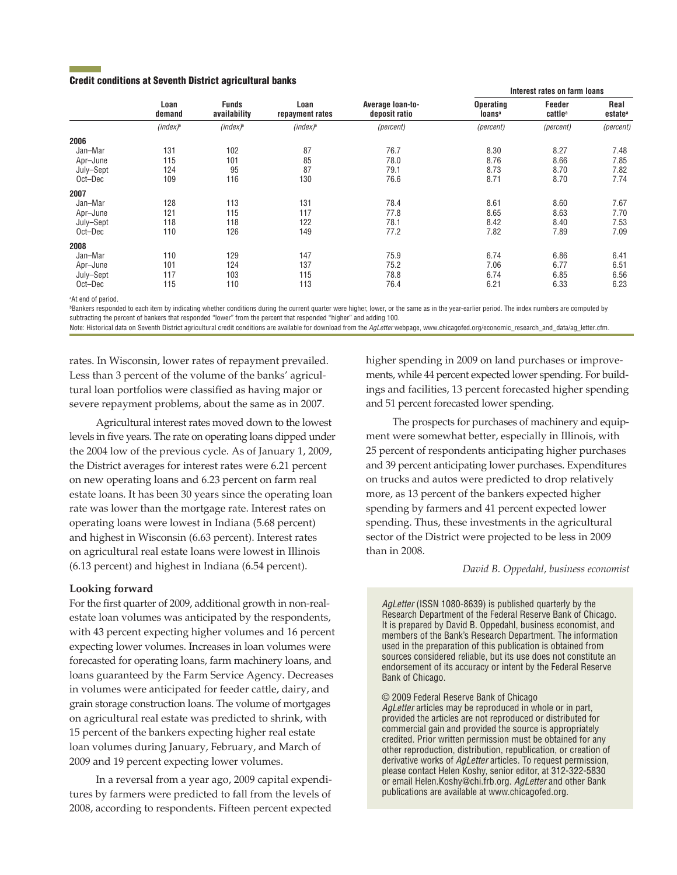#### Credit conditions at Seventh District agricultural banks

|           | Loan<br>demand | <b>Funds</b><br>availability | Loan<br>repayment rates | Average loan-to-<br>deposit ratio | Interest rates on farm loans           |                               |                             |
|-----------|----------------|------------------------------|-------------------------|-----------------------------------|----------------------------------------|-------------------------------|-----------------------------|
|           |                |                              |                         |                                   | <b>Operating</b><br>loans <sup>a</sup> | Feeder<br>cattle <sup>a</sup> | Real<br>estate <sup>a</sup> |
|           | $(index)^b$    | $(index)^b$                  | $(index)^b$             | (percent)                         | (percent)                              | (percent)                     | (percent)                   |
| 2006      |                |                              |                         |                                   |                                        |                               |                             |
| Jan-Mar   | 131            | 102                          | 87                      | 76.7                              | 8.30                                   | 8.27                          | 7.48                        |
| Apr-June  | 115            | 101                          | 85                      | 78.0                              | 8.76                                   | 8.66                          | 7.85                        |
| July-Sept | 124            | 95                           | 87                      | 79.1                              | 8.73                                   | 8.70                          | 7.82                        |
| Oct-Dec   | 109            | 116                          | 130                     | 76.6                              | 8.71                                   | 8.70                          | 7.74                        |
| 2007      |                |                              |                         |                                   |                                        |                               |                             |
| Jan-Mar   | 128            | 113                          | 131                     | 78.4                              | 8.61                                   | 8.60                          | 7.67                        |
| Apr-June  | 121            | 115                          | 117                     | 77.8                              | 8.65                                   | 8.63                          | 7.70                        |
| July-Sept | 118            | 118                          | 122                     | 78.1                              | 8.42                                   | 8.40                          | 7.53                        |
| Oct-Dec   | 110            | 126                          | 149                     | 77.2                              | 7.82                                   | 7.89                          | 7.09                        |
| 2008      |                |                              |                         |                                   |                                        |                               |                             |
| Jan-Mar   | 110            | 129                          | 147                     | 75.9                              | 6.74                                   | 6.86                          | 6.41                        |
| Apr-June  | 101            | 124                          | 137                     | 75.2                              | 7.06                                   | 6.77                          | 6.51                        |
| July-Sept | 117            | 103                          | 115                     | 78.8                              | 6.74                                   | 6.85                          | 6.56                        |
| Oct-Dec   | 115            | 110                          | 113                     | 76.4                              | 6.21                                   | 6.33                          | 6.23                        |

<sup>a</sup>At end of period.

**Bankers responded to each item by indicating whether conditions during the current quarter were higher, lower, or the same as in the year-earlier period. The index numbers are computed by** subtracting the percent of bankers that responded "lower" from the percent that responded "higher" and adding 100.

Note: Historical data on Seventh District agricultural credit conditions are available for download from the AgLetter webpage, www.chicagofed.org/economic\_research\_and\_data/ag\_letter.cfm.

rates. In Wisconsin, lower rates of repayment prevailed. Less than 3 percent of the volume of the banks' agricultural loan portfolios were classified as having major or severe repayment problems, about the same as in 2007.

Agricultural interest rates moved down to the lowest levels in five years. The rate on operating loans dipped under the 2004 low of the previous cycle. As of January 1, 2009, the District averages for interest rates were 6.21 percent on new operating loans and 6.23 percent on farm real estate loans. It has been 30 years since the operating loan rate was lower than the mortgage rate. Interest rates on operating loans were lowest in Indiana (5.68 percent) and highest in Wisconsin (6.63 percent). Interest rates on agricultural real estate loans were lowest in Illinois (6.13 percent) and highest in Indiana (6.54 percent).

## **Looking forward**

For the first quarter of 2009, additional growth in non-realestate loan volumes was anticipated by the respondents, with 43 percent expecting higher volumes and 16 percent expecting lower volumes. Increases in loan volumes were forecasted for operating loans, farm machinery loans, and loans guaranteed by the Farm Service Agency. Decreases in volumes were anticipated for feeder cattle, dairy, and grain storage construction loans. The volume of mortgages on agricultural real estate was predicted to shrink, with 15 percent of the bankers expecting higher real estate loan volumes during January, February, and March of 2009 and 19 percent expecting lower volumes.

In a reversal from a year ago, 2009 capital expenditures by farmers were predicted to fall from the levels of 2008, according to respondents. Fifteen percent expected higher spending in 2009 on land purchases or improvements, while 44 percent expected lower spending. For buildings and facilities, 13 percent forecasted higher spending and 51 percent forecasted lower spending.

The prospects for purchases of machinery and equipment were somewhat better, especially in Illinois, with 25 percent of respondents anticipating higher purchases and 39 percent anticipating lower purchases. Expenditures on trucks and autos were predicted to drop relatively more, as 13 percent of the bankers expected higher spending by farmers and 41 percent expected lower spending. Thus, these investments in the agricultural sector of the District were projected to be less in 2009 than in 2008.

#### *David B. Oppedahl, business economist*

*AgLetter* (ISSN 1080-8639) is published quarterly by the Research Department of the Federal Reserve Bank of Chicago. It is prepared by David B. Oppedahl, business economist, and members of the Bank's Research Department. The information used in the preparation of this publication is obtained from sources considered reliable, but its use does not constitute an endorsement of its accuracy or intent by the Federal Reserve Bank of Chicago.

© 2009 Federal Reserve Bank of Chicago *AgLetter* articles may be reproduced in whole or in part, provided the articles are not reproduced or distributed for commercial gain and provided the source is appropriately credited. Prior written permission must be obtained for any other reproduction, distribution, republication, or creation of derivative works of *AgLetter* articles. To request permission, please contact Helen Koshy, senior editor, at 312-322-5830 or email Helen.Koshy@chi.frb.org. *AgLetter* and other Bank publications are available at www.chicagofed.org.